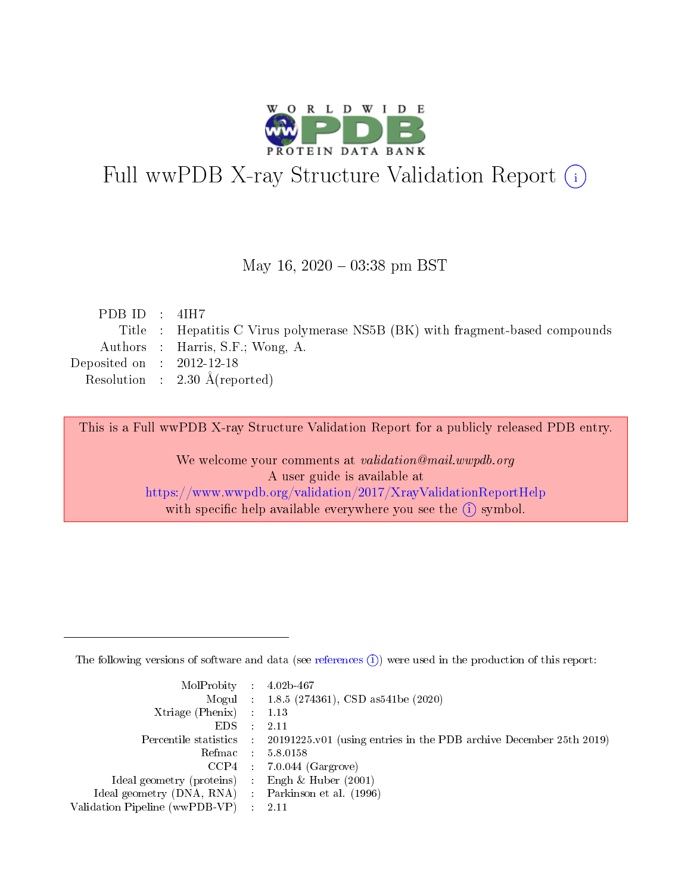

# Full wwPDB X-ray Structure Validation Report (i)

### May 16,  $2020 - 03:38$  pm BST

| PDB ID : $4IH7$             |                                                                              |
|-----------------------------|------------------------------------------------------------------------------|
|                             | Title : Hepatitis C Virus polymerase NS5B (BK) with fragment-based compounds |
|                             | Authors : Harris, S.F.; Wong, A.                                             |
| Deposited on : $2012-12-18$ |                                                                              |
|                             | Resolution : $2.30 \text{ Å}$ (reported)                                     |
|                             |                                                                              |

This is a Full wwPDB X-ray Structure Validation Report for a publicly released PDB entry.

We welcome your comments at validation@mail.wwpdb.org A user guide is available at <https://www.wwpdb.org/validation/2017/XrayValidationReportHelp> with specific help available everywhere you see the  $(i)$  symbol.

The following versions of software and data (see [references](https://www.wwpdb.org/validation/2017/XrayValidationReportHelp#references)  $(1)$ ) were used in the production of this report:

| $MolProbability$ : 4.02b-467                        |                                                                                              |
|-----------------------------------------------------|----------------------------------------------------------------------------------------------|
|                                                     | Mogul : 1.8.5 (274361), CSD as 541 be (2020)                                                 |
| Xtriage (Phenix) $: 1.13$                           |                                                                                              |
| $EDS$ :                                             | -2.11                                                                                        |
|                                                     | Percentile statistics : $20191225.v01$ (using entries in the PDB archive December 25th 2019) |
| Refmac : 5.8.0158                                   |                                                                                              |
|                                                     | $CCP4$ : 7.0.044 (Gargrove)                                                                  |
| Ideal geometry (proteins) :                         | Engh $\&$ Huber (2001)                                                                       |
| Ideal geometry (DNA, RNA) : Parkinson et al. (1996) |                                                                                              |
| Validation Pipeline (wwPDB-VP) : 2.11               |                                                                                              |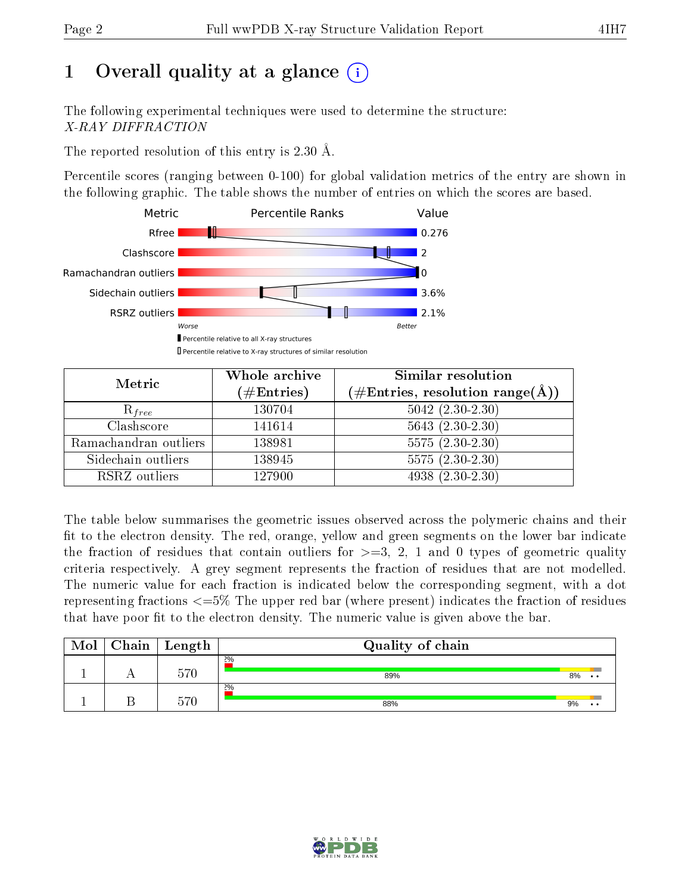# 1 [O](https://www.wwpdb.org/validation/2017/XrayValidationReportHelp#overall_quality)verall quality at a glance  $(i)$

The following experimental techniques were used to determine the structure: X-RAY DIFFRACTION

The reported resolution of this entry is 2.30 Å.

Percentile scores (ranging between 0-100) for global validation metrics of the entry are shown in the following graphic. The table shows the number of entries on which the scores are based.



| Metric                | Whole archive<br>$(\#\mathrm{Entries})$ | Similar resolution<br>$(\#\text{Entries},\,\text{resolution}\,\,\text{range}(\textup{\AA}))$ |  |  |
|-----------------------|-----------------------------------------|----------------------------------------------------------------------------------------------|--|--|
| $R_{free}$            | 130704                                  | $5042$ $(2.30-2.30)$                                                                         |  |  |
| Clashscore            | 141614                                  | $5643(2.30-2.30)$                                                                            |  |  |
| Ramachandran outliers | 138981                                  | $5575(2.30-2.30)$                                                                            |  |  |
| Sidechain outliers    | 138945                                  | $5575(2.30-2.30)$                                                                            |  |  |
| RSRZ outliers         | 127900                                  | $4938(2.30-2.30)$                                                                            |  |  |

The table below summarises the geometric issues observed across the polymeric chains and their fit to the electron density. The red, orange, yellow and green segments on the lower bar indicate the fraction of residues that contain outliers for  $>=3, 2, 1$  and 0 types of geometric quality criteria respectively. A grey segment represents the fraction of residues that are not modelled. The numeric value for each fraction is indicated below the corresponding segment, with a dot representing fractions  $\epsilon=5\%$  The upper red bar (where present) indicates the fraction of residues that have poor fit to the electron density. The numeric value is given above the bar.

| Mol | Chain | $\perp$ Length | Quality of chain |    |                 |
|-----|-------|----------------|------------------|----|-----------------|
|     |       | $570\,$        | 2%<br>89%        | 8% | $\cdot$ $\cdot$ |
|     |       | $570\,$        | 2%<br>88%        | 9% | $\cdot$ .       |

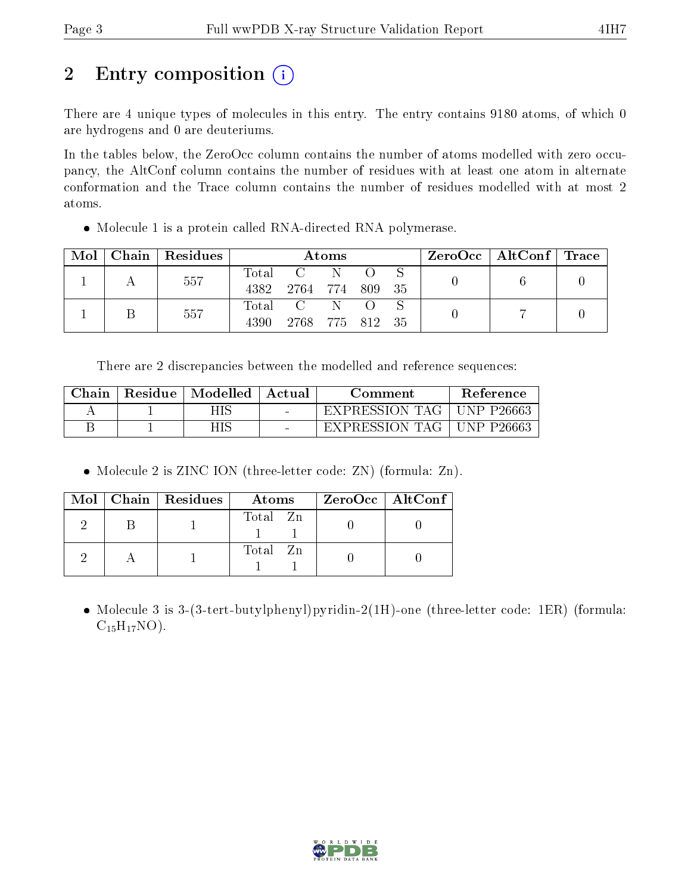# 2 Entry composition (i)

There are 4 unique types of molecules in this entry. The entry contains 9180 atoms, of which 0 are hydrogens and 0 are deuteriums.

In the tables below, the ZeroOcc column contains the number of atoms modelled with zero occupancy, the AltConf column contains the number of residues with at least one atom in alternate conformation and the Trace column contains the number of residues modelled with at most 2 atoms.

• Molecule 1 is a protein called RNA-directed RNA polymerase.

| Mol | Chain   Residues | Atoms                    |                       |  |        |  | $\text{ZeroOcc} \mid \text{AltConf} \mid \text{Trace} \mid$ |  |
|-----|------------------|--------------------------|-----------------------|--|--------|--|-------------------------------------------------------------|--|
|     | 557              | $\rm Total$<br>4382      | $\rm C$ –<br>2764 774 |  | 809 35 |  |                                                             |  |
|     | 557              | $\mathrm{Total}$<br>4390 | 2768 775 812 35       |  |        |  |                                                             |  |

There are 2 discrepancies between the modelled and reference sequences:

| Chain | Residue   Modelled | – Actual | Comment                     | <b>Reference</b> |
|-------|--------------------|----------|-----------------------------|------------------|
|       | HIS                |          | EXPRESSION TAG   UNP P26663 |                  |
|       | HIS                |          | EXPRESSION TAG I            | UNP P26663       |

• Molecule 2 is ZINC ION (three-letter code: ZN) (formula: Zn).

|  | $Mol$   Chain   Residues | Atoms    | $\rm ZeroOcc \mid AltConf$ |
|--|--------------------------|----------|----------------------------|
|  |                          | Total Zn |                            |
|  |                          | Total Zn |                            |

• Molecule 3 is 3-(3-tert-butylphenyl)pyridin-2(1H)-one (three-letter code: 1ER) (formula:  $C_{15}H_{17}NO$ ).

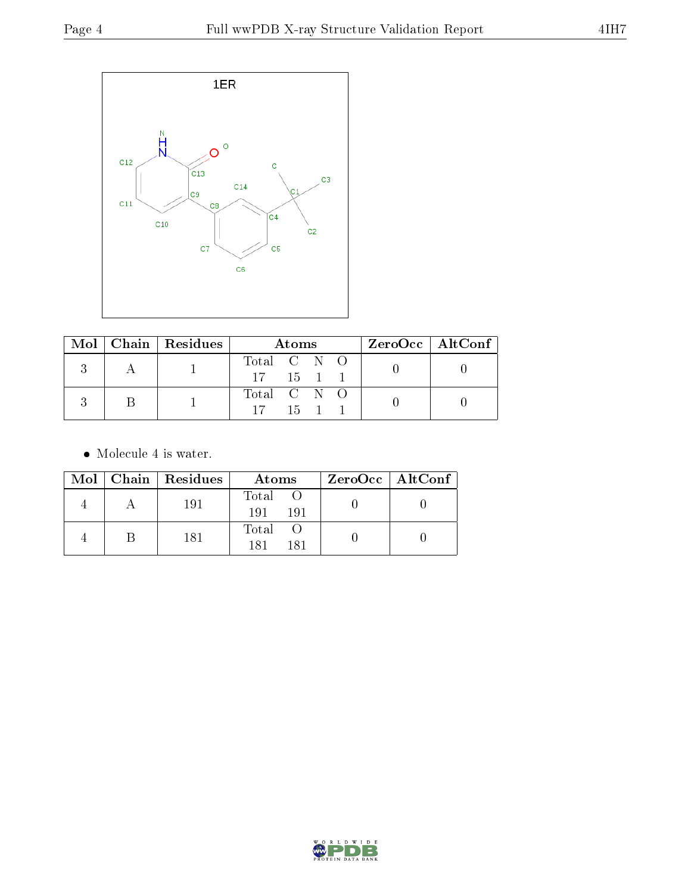

|  | $\text{Mol}$   Chain   Residues |                               | Atoms |  | $ZeroOcc \mid AltConf \mid$ |  |
|--|---------------------------------|-------------------------------|-------|--|-----------------------------|--|
|  |                                 | Total C N O                   |       |  |                             |  |
|  |                                 | $17 \quad 15 \quad 1 \quad 1$ |       |  |                             |  |
|  |                                 | Total C N O                   |       |  |                             |  |
|  |                                 | $17 \t15 \t1$                 |       |  |                             |  |

• Molecule 4 is water.

|  | $Mol$   Chain   Residues | Atoms                | $ZeroOcc \   \ AltConf \  $ |
|--|--------------------------|----------------------|-----------------------------|
|  | 191                      | Total<br>191<br>-191 |                             |
|  | 181                      | Total<br>181<br>181  |                             |

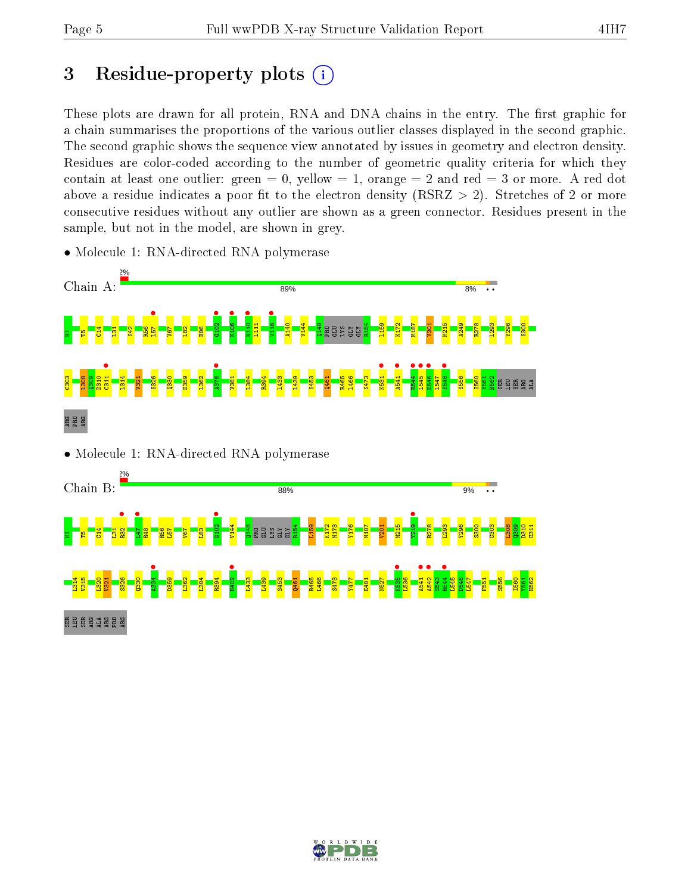# 3 Residue-property plots  $(i)$

These plots are drawn for all protein, RNA and DNA chains in the entry. The first graphic for a chain summarises the proportions of the various outlier classes displayed in the second graphic. The second graphic shows the sequence view annotated by issues in geometry and electron density. Residues are color-coded according to the number of geometric quality criteria for which they contain at least one outlier: green  $= 0$ , yellow  $= 1$ , orange  $= 2$  and red  $= 3$  or more. A red dot above a residue indicates a poor fit to the electron density (RSRZ  $> 2$ ). Stretches of 2 or more consecutive residues without any outlier are shown as a green connector. Residues present in the sample, but not in the model, are shown in grey.



• Molecule 1: RNA-directed RNA polymerase

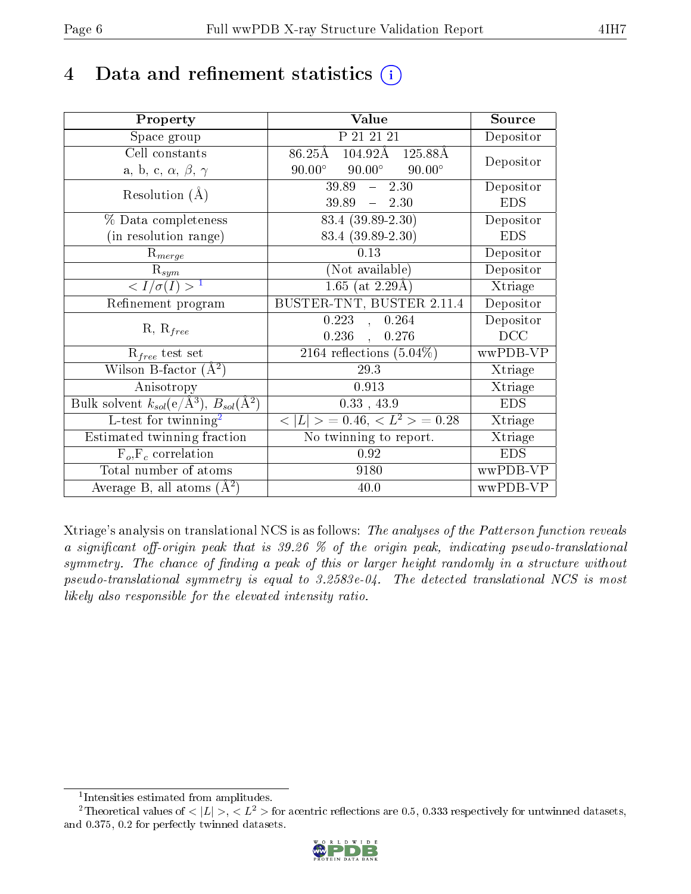# 4 Data and refinement statistics  $(i)$

| Property                                                             | Value                                           | Source                       |
|----------------------------------------------------------------------|-------------------------------------------------|------------------------------|
| Space group                                                          | P 21 21 21                                      | Depositor                    |
| Cell constants                                                       | 104.92Å 125.88Å<br>$86.25\text{\AA}$            | Depositor                    |
| a, b, c, $\alpha$ , $\beta$ , $\gamma$                               | $90.00^\circ$<br>$90.00^\circ$<br>$90.00^\circ$ |                              |
| Resolution $(A)$                                                     | 39.89<br>$-2.30$                                | Depositor                    |
|                                                                      | $39.89 - 2.30$                                  | <b>EDS</b>                   |
| % Data completeness                                                  | $83.4 (39.89 - 2.30)$                           | Depositor                    |
| (in resolution range)                                                | 83.4 (39.89-2.30)                               | <b>EDS</b>                   |
| $R_{merge}$                                                          | 0.13                                            | Depositor                    |
| $\mathrm{R}_{sym}$                                                   | (Not available)                                 | Depositor                    |
| $\overline{1$                                                        | $1.65$ (at 2.29Å)                               | Xtriage                      |
| Refinement program                                                   | BUSTER-TNT, BUSTER 2.11.4                       | Depositor                    |
|                                                                      | $0.223$ ,<br>0.264                              | Depositor                    |
| $R, R_{free}$                                                        | 0.236<br>0.276                                  | DCC                          |
| $R_{free}$ test set                                                  | 2164 reflections $(5.04\%)$                     | wwPDB-VP                     |
| Wilson B-factor $(A^2)$                                              | 29.3                                            | Xtriage                      |
| Anisotropy                                                           | 0.913                                           | Xtriage                      |
| Bulk solvent $k_{sol}(e/\mathring{A}^3)$ , $B_{sol}(\mathring{A}^2)$ | 0.33, 43.9                                      | <b>EDS</b>                   |
| $\overline{\text{L-test}$ for twinning <sup>2</sup>                  | $< L >$ = 0.46, $< L^2 >$ = 0.28                | Xtriage                      |
| Estimated twinning fraction                                          | No twinning to report.                          | $\overline{\text{X}}$ triage |
| $F_o, F_c$ correlation                                               | 0.92                                            | <b>EDS</b>                   |
| Total number of atoms                                                | 9180                                            | wwPDB-VP                     |
| Average B, all atoms $(A^2)$                                         | 40.0                                            | wwPDB-VP                     |

Xtriage's analysis on translational NCS is as follows: The analyses of the Patterson function reveals a significant off-origin peak that is 39.26  $\%$  of the origin peak, indicating pseudo-translational symmetry. The chance of finding a peak of this or larger height randomly in a structure without pseudo-translational symmetry is equal to 3.2583e-04. The detected translational NCS is most likely also responsible for the elevated intensity ratio.

<sup>&</sup>lt;sup>2</sup>Theoretical values of  $\langle |L| \rangle$ ,  $\langle L^2 \rangle$  for acentric reflections are 0.5, 0.333 respectively for untwinned datasets, and 0.375, 0.2 for perfectly twinned datasets.



<span id="page-5-1"></span><span id="page-5-0"></span><sup>1</sup> Intensities estimated from amplitudes.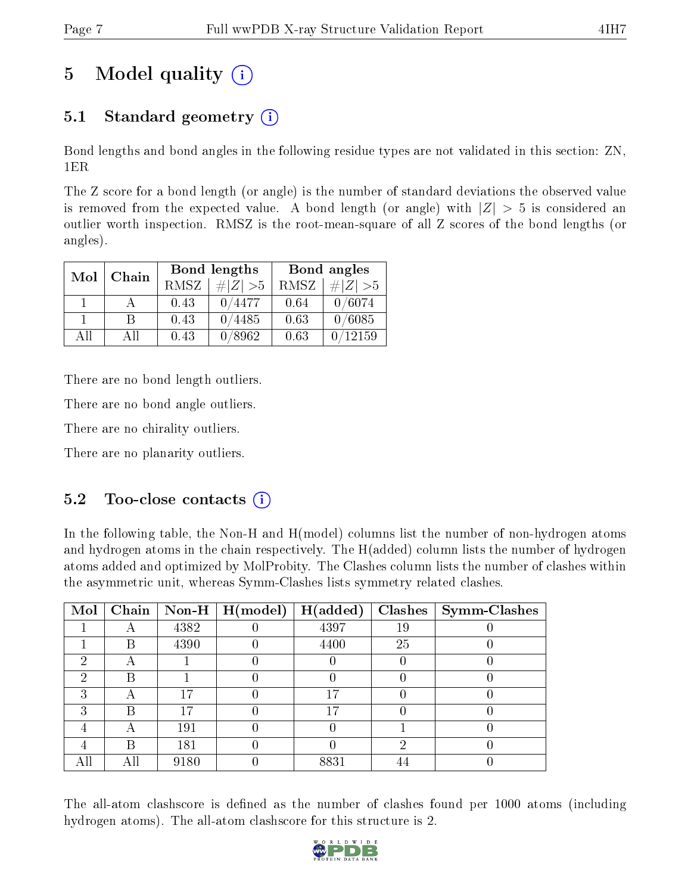# 5 Model quality  $(i)$

# 5.1 Standard geometry  $(i)$

Bond lengths and bond angles in the following residue types are not validated in this section: ZN, 1ER

The Z score for a bond length (or angle) is the number of standard deviations the observed value is removed from the expected value. A bond length (or angle) with  $|Z| > 5$  is considered an outlier worth inspection. RMSZ is the root-mean-square of all Z scores of the bond lengths (or angles).

| Mol | Chain |             | Bond lengths | Bond angles |             |  |
|-----|-------|-------------|--------------|-------------|-------------|--|
|     |       | <b>RMSZ</b> | $\# Z  > 5$  | RMSZ        | $\# Z  > 5$ |  |
|     |       | 0.43        | 0/4477       | 0.64        | 0/6074      |  |
|     | R     | 0.43        | 0/4485       | 0.63        | 0/6085      |  |
| АH  | АH    | 0.43        | 0/8962       | 0.63        | 12159       |  |

There are no bond length outliers.

There are no bond angle outliers.

There are no chirality outliers.

There are no planarity outliers.

# $5.2$  Too-close contacts  $(i)$

In the following table, the Non-H and H(model) columns list the number of non-hydrogen atoms and hydrogen atoms in the chain respectively. The H(added) column lists the number of hydrogen atoms added and optimized by MolProbity. The Clashes column lists the number of clashes within the asymmetric unit, whereas Symm-Clashes lists symmetry related clashes.

| Mol | Chain |      | $\mid$ Non-H $\mid$ H(model) | H(added) |    | $Clashes$   Symm-Clashes |
|-----|-------|------|------------------------------|----------|----|--------------------------|
|     |       | 4382 |                              | 4397     | 19 |                          |
|     | В     | 4390 |                              | 4400     | 25 |                          |
| 2   | Η     |      |                              |          |    |                          |
| 2   | R     |      |                              |          |    |                          |
| 3   |       | 17   |                              | 17       |    |                          |
| 3   | В     | 17   |                              | 17       |    |                          |
|     |       | 191  |                              |          |    |                          |
|     | В     | 181  |                              |          | ച  |                          |
| All | Аll   | 9180 |                              | 8831     |    |                          |

The all-atom clashscore is defined as the number of clashes found per 1000 atoms (including hydrogen atoms). The all-atom clashscore for this structure is 2.

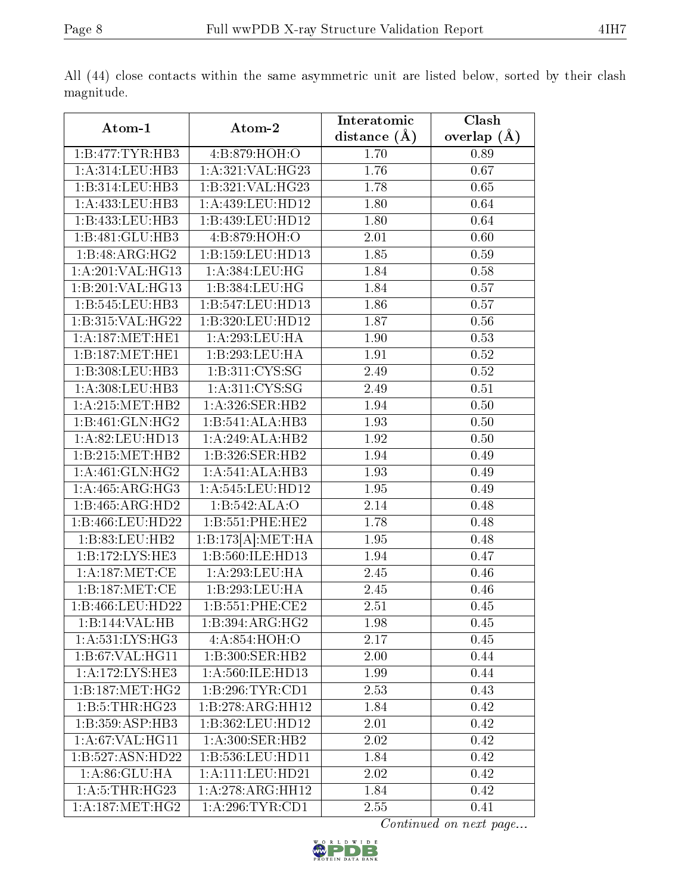|--|

|                                    |                              | Interatomic       | Clash         |
|------------------------------------|------------------------------|-------------------|---------------|
| Atom-1                             | Atom-2                       | distance $(A)$    | overlap $(A)$ |
| 1:B:477:TYR:HB3                    | 4:B:879:HOH:O                | 1.70              | 0.89          |
| 1: A:314: LEU: HB3                 | 1:A:321:VAL:H G23            | 1.76              | 0.67          |
| 1:B:314:LEU:HB3                    | 1:B:321:VAL:HG23             | 1.78              | 0.65          |
| 1:A:433:LEU:HB3                    | 1:A:439:LEU:HD12             | 1.80              | 0.64          |
| 1:B:433:LEU:HB3                    | 1:B:439:LEU:HD12             | 1.80              | 0.64          |
| 1:B:481:GLU:HB3                    | 4: B:879:HOH:O               | 2.01              | 0.60          |
| $1:B:48:\overline{\text{ARG:HG2}}$ | 1:B:159:LEU:HD13             | 1.85              | 0.59          |
| 1:A:201:VAL:HG13                   | 1: A: 384: LEU: HG           | 1.84              | 0.58          |
| 1:B:201:VAL:HG13                   | 1:B:384:LEU:HG               | 1.84              | 0.57          |
| 1:B:545:LEU:HB3                    | 1:B:547:LEU:HD13             | 1.86              | 0.57          |
| 1:B:315:VAL:HG22                   | 1:B:320:LEU:HD12             | 1.87              | 0.56          |
| 1: A:187: MET:HE1                  | 1:A:293:LEU:HA               | 1.90              | 0.53          |
| 1:B:187:MET:HE1                    | 1:B:293:LEU:HA               | 1.91              | 0.52          |
| 1:B:308:LEU:HB3                    | $1: \overline{B:311:CYS:SG}$ | 2.49              | 0.52          |
| 1:A:308:LEU:HB3                    | 1: A:311: CYS:SG             | 2.49              | 0.51          |
| 1: A:215:MET:HB2                   | 1:A:326:SER:HB2              | 1.94              | 0.50          |
| 1: B:461: GLN: HG2                 | 1:B:541:ALA:HB3              | 1.93              | 0.50          |
| 1:A:82:LEU:HD13                    | 1:A:249:ALA:HB2              | 1.92              | 0.50          |
| 1:B:215:MET:HB2                    | 1:B:326:SER:HB2              | 1.94              | 0.49          |
| 1: A:461: GLN: HG2                 | 1:A:541:ALA:HB3              | 1.93              | 0.49          |
| 1:A:465:ARG:HG3                    | 1:A:545:LEU:HD12             | 1.95              | 0.49          |
| 1:B:465:ARG:HD2                    | 1:B:542:ALA:O                | 2.14              | 0.48          |
| 1:B:466:LEU:HD22                   | 1:B:551:PHE:HE2              | 1.78              | 0.48          |
| 1:B:83:LEU:HB2                     | 1:B:173[A]: MET:HA           | 1.95              | 0.48          |
| 1:B:172:LYS:HE3                    | 1:B:560:ILE:HD13             | $\overline{1}.94$ | 0.47          |
| 1: A:187: MET:CE                   | 1:A:293:LEU:HA               | 2.45              | 0.46          |
| 1:B:187:MET:CE                     | 1:B:293:LEU:HA               | 2.45              | 0.46          |
| 1:B:466:LEU:HD22                   | 1:B:551:PHE:CE2              | 2.51              | $0.45\,$      |
| 1:B:144:VAL:HB                     | 1:B:394:ARG:HG2              | 1.98              | 0.45          |
| 1: A: 531: LYS: HG3                | 4:A:854:HOH:O                | 2.17              | 0.45          |
| 1:B:67:VAL:HG11                    | 1:B:300:SER:HB2              | 2.00              | 0.44          |
| 1:A:172:LYS:HE3                    | 1:A:560:ILE:HD13             | 1.99              | 0.44          |
| 1:B:187:MET:HG2                    | 1:B:296:TYR:CD1              | 2.53              | 0.43          |
| 1:B:5:THR:HG23                     | 1:B:278:ARG:HH12             | 1.84              | 0.42          |
| 1:B:359:ASP:HB3                    | 1:B:362:LEU:HD12             | 2.01              | 0.42          |
| 1:A:67:VAL:HG11                    | 1: A:300: SER: HB2           | 2.02              | 0.42          |
| 1:B:527:ASN:HD22                   | 1:B:536:LEU:HD11             | 1.84              | 0.42          |
| 1: A:86: GLU:HA                    | 1:A:111:LEU:HD21             | 2.02              | 0.42          |
| 1: A:5:THR:HG23                    | 1:A:278:ARG:HH12             | 1.84              | 0.42          |
| 1: A: 187: MET: HG2                | 1: A:296:TYR:CD1             | 2.55              | 0.41          |

All (44) close contacts within the same asymmetric unit are listed below, sorted by their clash magnitude.

Continued on next page...

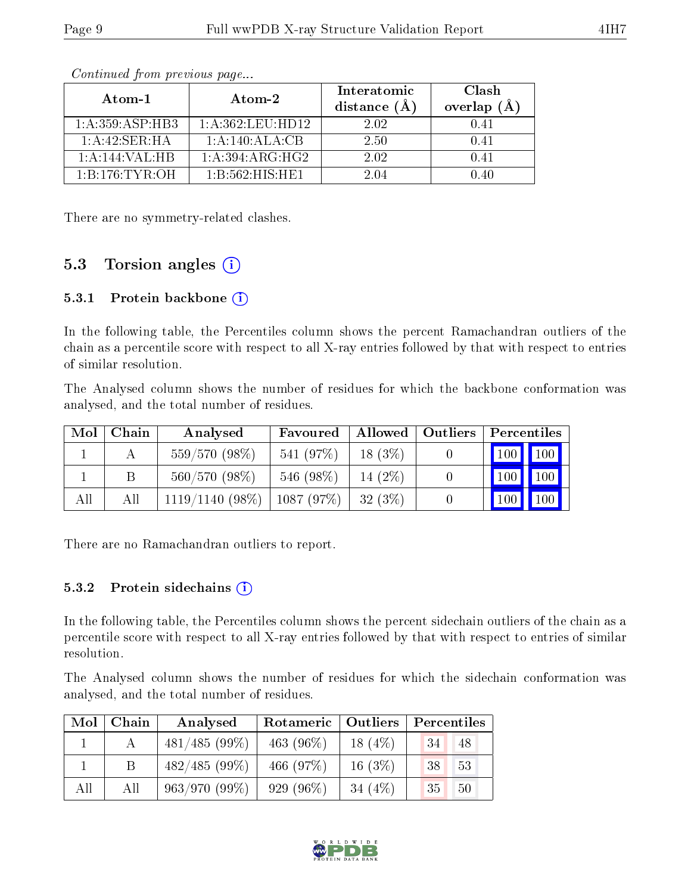| Atom-1              | Atom-2                       | Interatomic<br>distance $(A)$ | Clash<br>overlap $(A)$ |
|---------------------|------------------------------|-------------------------------|------------------------|
| 1: A: 359: ASP: HB3 | $1: A: 362: \text{LEU:HD12}$ | 2.02                          | 0.41                   |
| 1: A:42: SER:HA     | 1:A:140:ALA:CB               | 2.50                          | 0.41                   |
| 1:A:144:VAL:HB      | 1:A:394:ARG:HG2              | 2.02                          | 0.41                   |
| 1: B: 176: TYR: OH  | 1: B:562: HIS: HE1           | 2 04                          | ) 40                   |

Continued from previous page...

There are no symmetry-related clashes.

# 5.3 Torsion angles  $(i)$

#### 5.3.1 Protein backbone  $(i)$

In the following table, the Percentiles column shows the percent Ramachandran outliers of the chain as a percentile score with respect to all X-ray entries followed by that with respect to entries of similar resolution.

The Analysed column shows the number of residues for which the backbone conformation was analysed, and the total number of residues.

| Mol | Chain | Analysed          | Favoured  |           | Allowed   Outliers | Percentiles                  |  |
|-----|-------|-------------------|-----------|-----------|--------------------|------------------------------|--|
|     |       | $559/570(98\%)$   | 541 (97%) | $18(3\%)$ |                    | $\mid$ 100 $\mid$ 100 $\mid$ |  |
|     |       | 560/570(98%)      | 546 (98%) | 14 $(2%)$ |                    | $\mid$ 100 $\mid$ 100 $\mid$ |  |
| All | All   | $1119/1140(98\%)$ | 1087(97%) | 32(3%)    |                    | $100$   100                  |  |

There are no Ramachandran outliers to report.

#### 5.3.2 Protein sidechains (i)

In the following table, the Percentiles column shows the percent sidechain outliers of the chain as a percentile score with respect to all X-ray entries followed by that with respect to entries of similar resolution.

The Analysed column shows the number of residues for which the sidechain conformation was analysed, and the total number of residues.

| Mol | Chain | Analysed        | Rotameric   Outliers |           | Percentiles |  |  |
|-----|-------|-----------------|----------------------|-----------|-------------|--|--|
|     |       | $481/485(99\%)$ | 463 $(96\%)$         | 18 $(4%)$ | 34<br>48    |  |  |
|     |       | 482/485(99%)    | 466 $(97%)$          | $16(3\%)$ | 38<br>53    |  |  |
| All | All   | $963/970(99\%)$ | $929(96\%)$          | 34 $(4%)$ | 35<br>50    |  |  |

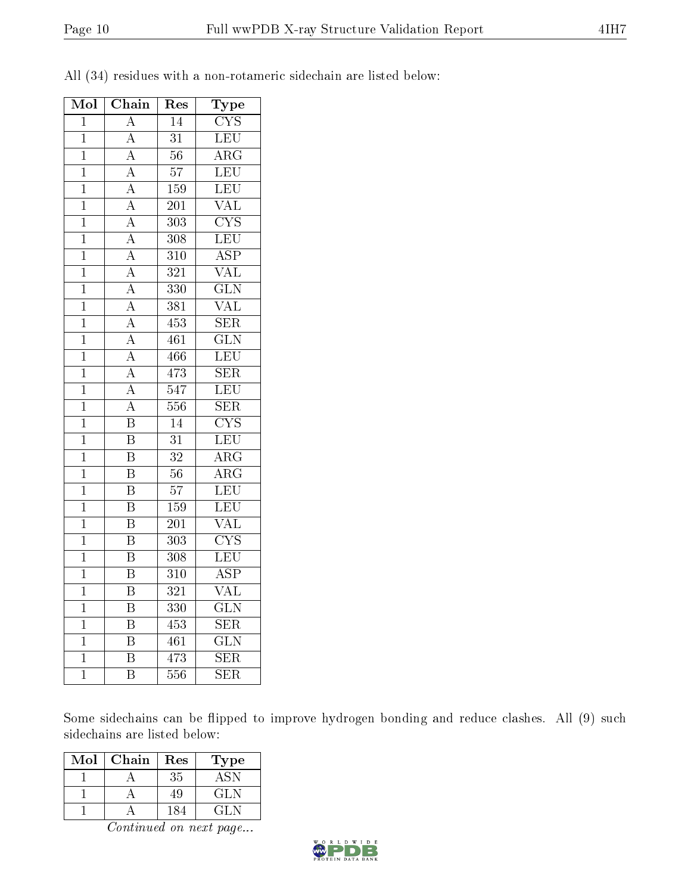| Mol            | Chain                   | Res              | Type                    |
|----------------|-------------------------|------------------|-------------------------|
| $\mathbf 1$    | $\overline{\rm A}$      | 14               | $\overline{\text{CYS}}$ |
| $\overline{1}$ | $\overline{\rm A}$      | $\overline{31}$  | LEU                     |
| $\overline{1}$ | $\overline{A}$          | $\overline{56}$  | $\overline{\rm{ARG}}$   |
| $\mathbf{1}$   | $\overline{A}$          | $\overline{57}$  | LEU                     |
| $\mathbf 1$    | $\overline{A}$          | 159              | $\overline{\text{LEU}}$ |
| $\mathbf 1$    | $\overline{A}$          | 201              | $\overline{\text{VAL}}$ |
| $\mathbf 1$    | $\overline{A}$          | $\overline{303}$ | $\overline{\text{CYS}}$ |
| $\mathbf{1}$   | $\overline{A}$          | $\overline{308}$ | $\overline{\text{LEU}}$ |
| $\mathbf 1$    | $\overline{A}$          | 310              | $\overline{\text{ASP}}$ |
| $\overline{1}$ | $\overline{\rm A}$      | $\overline{321}$ | $\overline{\text{VAL}}$ |
| $\overline{1}$ | $\overline{A}$          | 330              | $\overline{\text{GLN}}$ |
| $\overline{1}$ | $\overline{A}$          | $\overline{381}$ | $\overline{\text{VAL}}$ |
| $\overline{1}$ | $\overline{A}$          | 453              | $\overline{\text{SER}}$ |
| $\overline{1}$ | $\overline{A}$          | 461              | $\overline{\text{GLN}}$ |
| $\overline{1}$ | $\overline{A}$          | 466              | $\overline{\text{LEU}}$ |
| $\mathbf{1}$   | $\overline{A}$          | 473              | $\overline{\text{SER}}$ |
| $\mathbf 1$    | $\overline{\rm A}$      | 547              | $\overline{\text{LEU}}$ |
| $\mathbf 1$    | $\overline{\rm A}$      | 556              | $\overline{\text{SER}}$ |
| $\mathbf 1$    | $\overline{\mathrm{B}}$ | $\overline{14}$  | $\overline{\text{CYS}}$ |
| $\overline{1}$ | $\overline{\mathrm{B}}$ | $\overline{31}$  | LEU                     |
| $\mathbf{1}$   | $\overline{\mathrm{B}}$ | $\overline{32}$  | $\overline{\rm{ARG}}$   |
| $\mathbf 1$    | $\overline{\mathrm{B}}$ | $\overline{56}$  | $\overline{\rm{ARG}}$   |
| $\mathbf 1$    | $\overline{\mathrm{B}}$ | $\overline{57}$  | $\overline{\text{LEU}}$ |
| $\mathbf 1$    | $\overline{\mathrm{B}}$ | $1\overline{59}$ | $\overline{\text{LEU}}$ |
| $\overline{1}$ | $\overline{\mathrm{B}}$ | $\overline{201}$ | $\overline{\text{VAL}}$ |
| $\mathbf 1$    | $\overline{\mathrm{B}}$ | $\overline{303}$ | $\overline{\text{CYS}}$ |
| $\overline{1}$ | $\overline{\mathrm{B}}$ | $\overline{308}$ | $\overline{\text{LEU}}$ |
| $\overline{1}$ | $\overline{\mathrm{B}}$ | 310              | $\overline{\text{ASP}}$ |
| $\overline{1}$ | $\overline{\mathrm{B}}$ | $\overline{321}$ | $\overline{\text{VAL}}$ |
| $\overline{1}$ | $\overline{\mathrm{B}}$ | 330              | $\overline{\text{GLN}}$ |
| $\mathbf 1$    | $\overline{\mathrm{B}}$ | 453              | $\overline{\text{SER}}$ |
| $\overline{1}$ | $\overline{\mathrm{B}}$ | 461              | $\overline{\text{GLN}}$ |
| $\mathbf 1$    | $\overline{\mathrm{B}}$ | 473              | $\overline{\text{SER}}$ |
| $\mathbf 1$    | $\overline{\mathrm{B}}$ | 556              | $\overline{\text{SER}}$ |

All (34) residues with a non-rotameric sidechain are listed below:

Some sidechains can be flipped to improve hydrogen bonding and reduce clashes. All (9) such sidechains are listed below:

| Mol | Chain | Res | Type |
|-----|-------|-----|------|
|     |       | 35  | ASN  |
|     |       | 49  | GLN  |
|     |       | 184 | GL N |

Continued on next page...

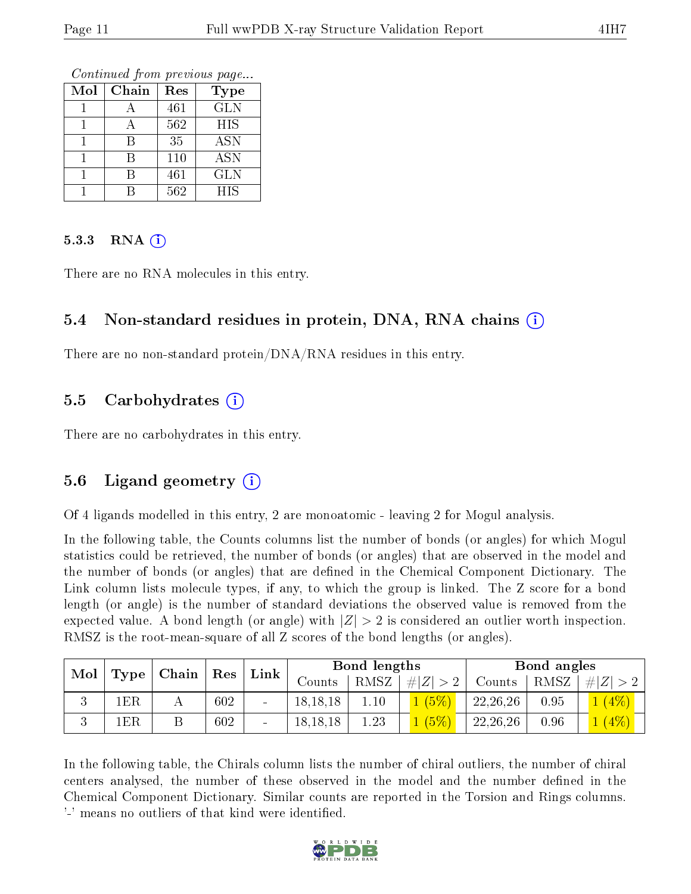Continued from previous page...

| Mol | Chain | Res | <b>Type</b> |
|-----|-------|-----|-------------|
|     |       | 461 | <b>GLN</b>  |
|     |       | 562 | HIS         |
|     |       | 35  | <b>ASN</b>  |
|     | R     | 110 | <b>ASN</b>  |
|     | R     | 461 | <b>GLN</b>  |
|     |       | 562 | HIS         |

#### $5.3.3$  RNA  $(i)$

There are no RNA molecules in this entry.

### 5.4 Non-standard residues in protein, DNA, RNA chains (i)

There are no non-standard protein/DNA/RNA residues in this entry.

### 5.5 Carbohydrates  $(i)$

There are no carbohydrates in this entry.

# 5.6 Ligand geometry (i)

Of 4 ligands modelled in this entry, 2 are monoatomic - leaving 2 for Mogul analysis.

In the following table, the Counts columns list the number of bonds (or angles) for which Mogul statistics could be retrieved, the number of bonds (or angles) that are observed in the model and the number of bonds (or angles) that are defined in the Chemical Component Dictionary. The Link column lists molecule types, if any, to which the group is linked. The Z score for a bond length (or angle) is the number of standard deviations the observed value is removed from the expected value. A bond length (or angle) with  $|Z| > 2$  is considered an outlier worth inspection. RMSZ is the root-mean-square of all Z scores of the bond lengths (or angles).

| Mol |                | $\mid$ Type $\mid$ Chain $\mid$ Res $\mid$ |     |                          |            | Bond lengths |             |            | Bond angles |         |
|-----|----------------|--------------------------------------------|-----|--------------------------|------------|--------------|-------------|------------|-------------|---------|
|     |                |                                            |     | Link                     | Counts     | RMSZ         | # $ Z  > 2$ | Counts     | RMSZ        | $\# Z $ |
|     | $1\mathrm{ER}$ | . .                                        | 602 | $\overline{\phantom{a}}$ | 18, 18, 18 | 1.10         | (5%)        | 22, 26, 26 | 0.95        | $(4\%)$ |
| ◡   | 1ER            |                                            | 602 | $\qquad \qquad$          | 18, 18, 18 | 1.23         | (5%)        | 22, 26, 26 | 0.96        | (4%     |

In the following table, the Chirals column lists the number of chiral outliers, the number of chiral centers analysed, the number of these observed in the model and the number defined in the Chemical Component Dictionary. Similar counts are reported in the Torsion and Rings columns. '-' means no outliers of that kind were identified.

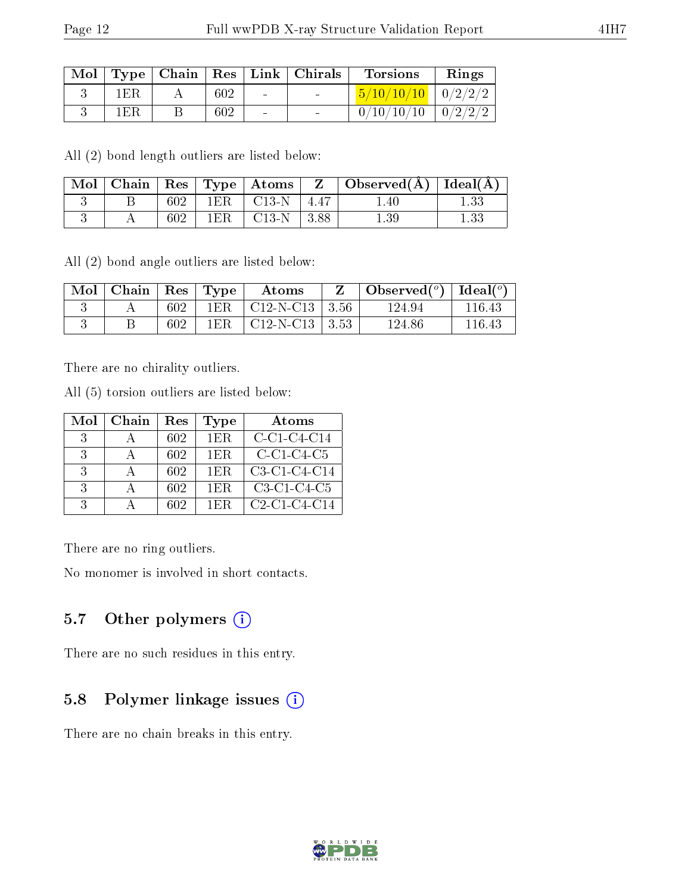|--|

| $\text{Mol}$ |     |     |                | Type   Chain   Res   Link   Chirals | <b>Torsions</b>          | Rings |
|--------------|-----|-----|----------------|-------------------------------------|--------------------------|-------|
|              | 1ER | 602 | $\sim$         | <b>Contract Contract</b>            | $5/10/10/10$   $0/2/2/2$ |       |
|              | 1ER | 602 | $\blacksquare$ |                                     | $0/10/10/10$   $0/2/2/2$ |       |

All (2) bond length outliers are listed below:

|  |     |                        | $\mid$ Mol $\mid$ Chain $\mid$ Res $\mid$ Type $\mid$ Atoms $\mid$ Z $\mid$ Observed(A) $\mid$ Ideal(A) |      |
|--|-----|------------------------|---------------------------------------------------------------------------------------------------------|------|
|  | 602 | $1ER$   C13-N   4.47   | . .40                                                                                                   |      |
|  | 602 | $1ER$   $C13-N$   3.88 | $1.39\,$                                                                                                | 1.33 |

All (2) bond angle outliers are listed below:

| Mol | $ $ Chain $ $ |     | $\vert$ Res $\vert$ Type | Atoms                        | Observed $(^\circ)$ | Ideal $(^\circ)$ |
|-----|---------------|-----|--------------------------|------------------------------|---------------------|------------------|
|     |               | 602 |                          | $1ER$   C12-N-C13   3.56     | 124.94              | 116 43           |
|     |               | 602 | 1ER                      | $\mid$ C12-N-C13 $\mid$ 3.53 | 124.86              | 116.43           |

There are no chirality outliers.

All (5) torsion outliers are listed below:

| Mol           | Chain | Res | Type | Atoms          |
|---------------|-------|-----|------|----------------|
| 3             |       | 602 | 1ER. | $C-C1-C4-C14$  |
| 3             |       | 602 | 1ER. | $C-C1-C4-C5$   |
| $\mathcal{R}$ |       | 602 | 1ER. | C3-C1-C4-C14   |
| $\mathcal{R}$ |       | 602 | 1ER. | $C3-C1-C4-C5$  |
| -2            |       | 602 | 1ER  | $C2-C1-C4-C14$ |

There are no ring outliers.

No monomer is involved in short contacts.

# 5.7 [O](https://www.wwpdb.org/validation/2017/XrayValidationReportHelp#nonstandard_residues_and_ligands)ther polymers (i)

There are no such residues in this entry.

# 5.8 Polymer linkage issues (i)

There are no chain breaks in this entry.

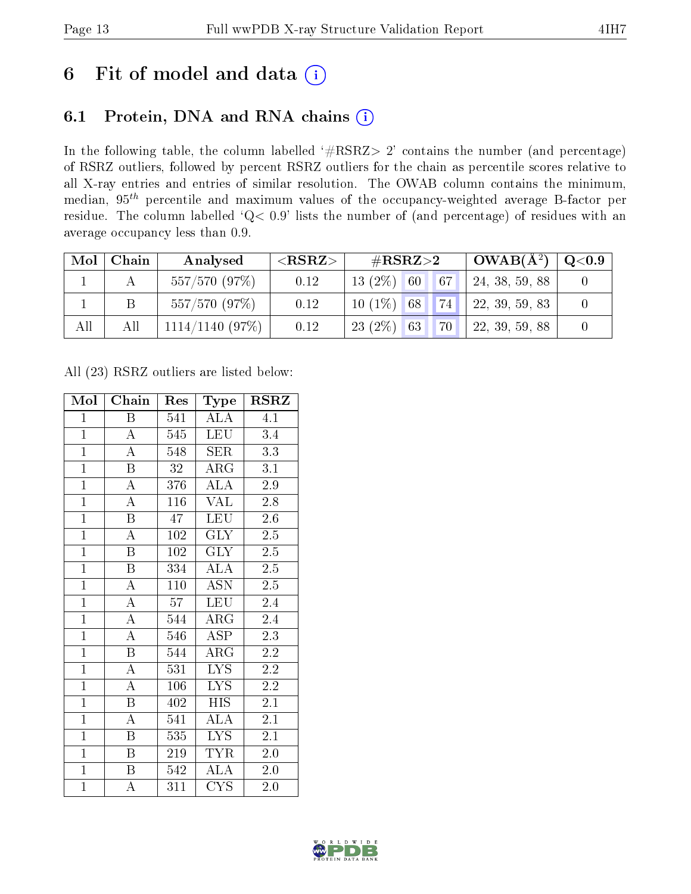# 6 Fit of model and data  $(i)$

# 6.1 Protein, DNA and RNA chains  $(i)$

In the following table, the column labelled  $#RSRZ> 2'$  contains the number (and percentage) of RSRZ outliers, followed by percent RSRZ outliers for the chain as percentile scores relative to all X-ray entries and entries of similar resolution. The OWAB column contains the minimum, median,  $95<sup>th</sup>$  percentile and maximum values of the occupancy-weighted average B-factor per residue. The column labelled ' $Q< 0.9$ ' lists the number of (and percentage) of residues with an average occupancy less than 0.9.

| Mol | Chain | Analysed          | ${ <\hspace{-1.5pt}{\mathrm{RSRZ}} \hspace{-1.5pt}>}$ | $\#\text{RSRZ}{>}2$ |  | $\vert$ OWAB( $A^2$ ) | $\mathrm{Q}{<}0.9$ |  |
|-----|-------|-------------------|-------------------------------------------------------|---------------------|--|-----------------------|--------------------|--|
|     |       | 557/570 (97%)     | 0.12                                                  | $13(2\%)$ 60        |  | 67                    | 24, 38, 59, 88     |  |
|     |       | 557/570(97%)      | 0.12                                                  | $10(1\%)$ 68        |  | 74                    | 22, 39, 59, 83     |  |
| All | All   | $1114/1140$ (97%) | 0.12                                                  | $23(2\%)$ 63        |  | 70                    | 22, 39, 59, 88     |  |

All (23) RSRZ outliers are listed below:

| Mol            | Chain                   | Res             | Type                    | <b>RSRZ</b>      |  |
|----------------|-------------------------|-----------------|-------------------------|------------------|--|
| $\mathbf{1}$   | B                       | 541             | ALA                     | 4.1              |  |
| $\mathbf{1}$   | $\boldsymbol{A}$        | 545             | <b>LEU</b>              | $3.4\,$          |  |
| $\overline{1}$ | $\overline{\rm A}$      | 548             | SER                     | 3.3              |  |
| $\overline{1}$ | $\overline{\mathrm{B}}$ | $\overline{32}$ | $\overline{\text{ARG}}$ | $\overline{3.1}$ |  |
| $\overline{1}$ | $\overline{\rm A}$      | 376             | $\overline{\rm ALA}$    | $\overline{2.9}$ |  |
| $\overline{1}$ | $\overline{\rm A}$      | 116             | <b>VAL</b>              | 2.8              |  |
| $\overline{1}$ | $\overline{\mathrm{B}}$ | 47              | <b>LEU</b>              | 2.6              |  |
| $\overline{1}$ | $\overline{\rm A}$      | 102             | <b>GLY</b>              | $2.5\,$          |  |
| $\overline{1}$ | $\boldsymbol{B}$        | 102             | <b>GLY</b>              | 2.5              |  |
| $\overline{1}$ | $\overline{\mathrm{B}}$ | 334             | <b>ALA</b>              | $\overline{2.5}$ |  |
| $\mathbf{1}$   | $\overline{\rm A}$      | 110             | <b>ASN</b>              | $2.\overline{5}$ |  |
| $\overline{1}$ | $\overline{\rm A}$      | 57              | LEU                     | 2.4              |  |
| $\mathbf{1}$   | $\overline{\rm A}$      | 544             | $\rm{ARG}$              | 2.4              |  |
| $\overline{1}$ | $\overline{\rm A}$      | 546             | ASP                     | 2.3              |  |
| $\overline{1}$ | $\overline{\mathrm{B}}$ | 544             | $\rm{ARG}$              | $\overline{2.2}$ |  |
| $\overline{1}$ | $\overline{\rm A}$      | 531             | <b>LYS</b>              | $2.2\,$          |  |
| $\overline{1}$ | $\overline{\rm A}$      | 106             | $\overline{\text{LYS}}$ | $\overline{2.2}$ |  |
| $\mathbf{1}$   | $\boldsymbol{B}$        | 402             | <b>HIS</b>              | 2.1              |  |
| $\overline{1}$ | $\overline{\rm A}$      | 541             | $\overline{\rm ALA}$    | 2.1              |  |
| $\overline{1}$ | $\overline{\mathbf{B}}$ | 535             | <b>LYS</b>              | 2.1              |  |
| $\overline{1}$ | $\boldsymbol{B}$        | 219             | <b>TYR</b>              | $2.0\,$          |  |
| $\overline{1}$ | $\overline{\mathrm{B}}$ | 542             | $\overline{\rm ALA}$    | 2.0              |  |
| $\overline{1}$ | A                       | 311             | <b>CYS</b>              | 2.0              |  |